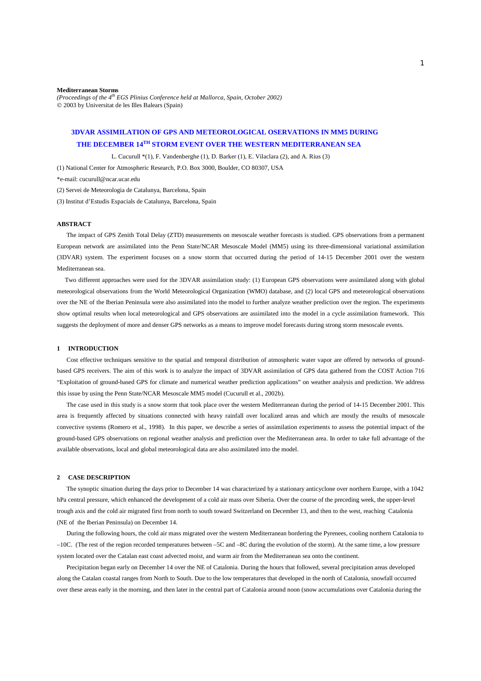#### **Mediterranean Storms**

*(Proceedings of the 4th EGS Plinius Conference held at Mallorca, Spain, October 2002)*  2003 by Universitat de les Illes Balears (Spain)

# **3DVAR ASSIMILATION OF GPS AND METEOROLOGICAL OSERVATIONS IN MM5 DURING THE DECEMBER 14TH STORM EVENT [OVER THE WESTERN MEDITERRANEAN SEA](#page-3-0)**

L. Cucurull \*(1), F. Vandenberghe (1), D. Barker (1), E. Vilaclara (2), and A. Rius (3)

(1) National Center for Atmospheric Research, P.O. Box 3000, Boulder, CO 80307, USA

\*e-mail: cucurull@ncar.ucar.edu

(2) Servei de Meteorologia de Catalunya, Barcelona, Spain

(3) Institut d'Estudis Espacials de Catalunya, Barcelona, Spain

### **ABSTRACT**

 The impact of GPS Zenith Total Delay (ZTD) measurements on mesoscale weather forecasts is studied. GPS observations from a permanent European network are assimilated into the Penn State/NCAR Mesoscale Model (MM5) using its three-dimensional variational assimilation (3DVAR) system. The experiment focuses on a snow storm that occurred during the period of 14-15 December 2001 over the western Mediterranean sea.

 Two different approaches were used for the 3DVAR assimilation study: (1) European GPS observations were assimilated along with global meteorological observations from the World Meteorological Organization (WMO) database, and (2) local GPS and meteorological observations over the NE of the Iberian Peninsula were also assimilated into the model to further analyze weather prediction over the region. The experiments show optimal results when local meteorological and GPS observations are assimilated into the model in a cycle assimilation framework. This suggests the deployment of more and denser GPS networks as a means to improve model forecasts during strong storm mesoscale events.

#### **1 INTRODUCTION**

 Cost effective techniques sensitive to the spatial and temporal distribution of atmospheric water vapor are offered by networks of groundbased GPS receivers. The aim of this work is to analyze the impact of 3DVAR assimilation of GPS data gathered from the COST Action 716 "Exploitation of ground-based GPS for climate and numerical weather prediction applications" on weather analysis and prediction. We address this issue by using the Penn State/NCAR Mesoscale MM5 model (Cucurull et al., 2002b).

 The case used in this study is a snow storm that took place over the western Mediterranean during the period of 14-15 December 2001. This area is frequently affected by situations connected with heavy rainfall over localized areas and which are mostly the results of mesoscale convective systems (Romero et al., 1998). In this paper, we describe a series of assimilation experiments to assess the potential impact of the ground-based GPS observations on regional weather analysis and prediction over the Mediterranean area. In order to take full advantage of the available observations, local and global meteorological data are also assimilated into the model.

#### **2 CASE DESCRIPTION**

 The synoptic situation during the days prior to December 14 was characterized by a stationary anticyclone over northern Europe, with a 1042 hPa central pressure, which enhanced the development of a cold air mass over Siberia. Over the course of the preceding week, the upper-level trough axis and the cold air migrated first from north to south toward Switzerland on December 13, and then to the west, reaching Catalonia (NE of the Iberian Peninsula) on December 14.

 During the following hours, the cold air mass migrated over the western Mediterranean bordering the Pyrenees, cooling northern Catalonia to –10C. (The rest of the region recorded temperatures between –5C and –8C during the evolution of the storm). At the same time, a low pressure system located over the Catalan east coast advected moist, and warm air from the Mediterranean sea onto the continent.

 Precipitation began early on December 14 over the NE of Catalonia. During the hours that followed, several precipitation areas developed along the Catalan coastal ranges from North to South. Due to the low temperatures that developed in the north of Catalonia, snowfall occurred over these areas early in the morning, and then later in the central part of Catalonia around noon (snow accumulations over Catalonia during the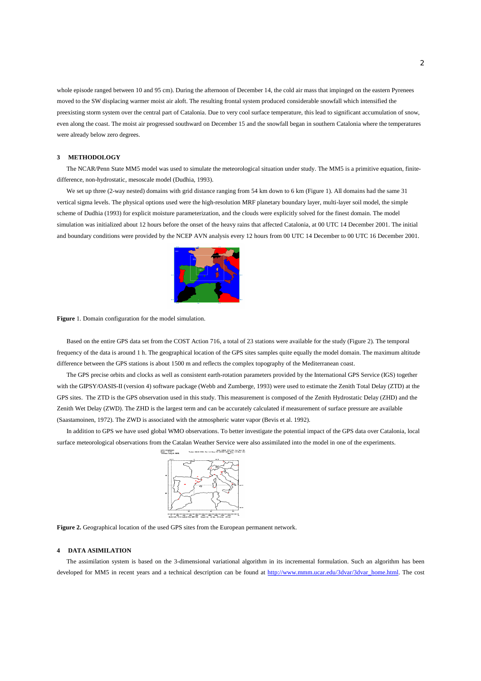whole episode ranged between 10 and 95 cm). During the afternoon of December 14, the cold air mass that impinged on the eastern Pyrenees moved to the SW displacing warmer moist air aloft. The resulting frontal system produced considerable snowfall which intensified the preexisting storm system over the central part of Catalonia. Due to very cool surface temperature, this lead to significant accumulation of snow, even along the coast. The moist air progressed southward on December 15 and the snowfall began in southern Catalonia where the temperatures were already below zero degrees.

## **3 METHODOLOGY**

 The NCAR/Penn State MM5 model was used to simulate the meteorological situation under study. The MM5 is a primitive equation, finitedifference, non-hydrostatic, mesoscale model (Dudhia, 1993).

We set up three (2-way nested) domains with grid distance ranging from 54 km down to 6 km (Figure 1). All domains had the same 31 vertical sigma levels. The physical options used were the high-resolution MRF planetary boundary layer, multi-layer soil model, the simple scheme of Dudhia (1993) for explicit moisture parameterization, and the clouds were explicitly solved for the finest domain. The model simulation was initialized about 12 hours before the onset of the heavy rains that affected Catalonia, at 00 UTC 14 December 2001. The initial and boundary conditions were provided by the NCEP AVN analysis every 12 hours from 00 UTC 14 December to 00 UTC 16 December 2001.



**Figure** 1. Domain configuration for the model simulation.

 Based on the entire GPS data set from the COST Action 716, a total of 23 stations were available for the study (Figure 2). The temporal frequency of the data is around 1 h. The geographical location of the GPS sites samples quite equally the model domain. The maximum altitude difference between the GPS stations is about 1500 m and reflects the complex topography of the Mediterranean coast.

 The GPS precise orbits and clocks as well as consistent earth-rotation parameters provided by the International GPS Service (IGS) together with the GIPSY/OASIS-II (version 4) software package (Webb and Zumberge, 1993) were used to estimate the Zenith Total Delay (ZTD) at the GPS sites. The ZTD is the GPS observation used in this study. This measurement is composed of the Zenith Hydrostatic Delay (ZHD) and the Zenith Wet Delay (ZWD). The ZHD is the largest term and can be accurately calculated if measurement of surface pressure are available (Saastamoinen, 1972). The ZWD is associated with the atmospheric water vapor (Bevis et al. 1992).

 In addition to GPS we have used global WMO observations. To better investigate the potential impact of the GPS data over Catalonia, local surface meteorological observations from the Catalan Weather Service were also assimilated into the model in one of the experiments.



**Figure 2.** Geographical location of the used GPS sites from the European permanent network.

## **4 DATA ASIMILATION**

 The assimilation system is based on the 3-dimensional variational algorithm in its incremental formulation. Such an algorithm has been developed for MM5 in recent years and a technical description can be found at http://www.mmm.ucar.edu/3dvar/3dvar\_home.html. The cost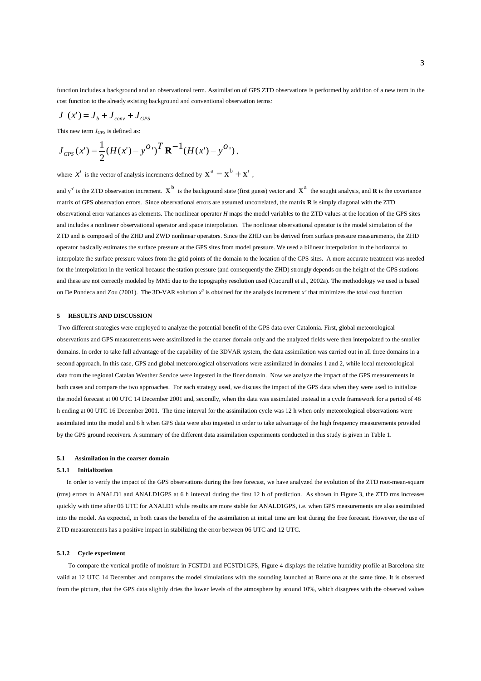function includes a background and an observational term. Assimilation of GPS ZTD observations is performed by addition of a new term in the cost function to the already existing background and conventional observation terms:

$$
J(x') = J_b + J_{conv} + J_{GPS}
$$

This new term  $J_{GPS}$  is defined as:

$$
J_{\text{GPS}}(x') = \frac{1}{2} (H(x') - y^{O'})^T \mathbf{R}^{-1} (H(x') - y^{O'}),
$$

where  $x'$  is the vector of analysis increments defined by  $x^a = x^b + x'$ .

and  $y^o$  is the ZTD observation increment.  $x^b$  is the background state (first guess) vector and  $x^a$  the sought analysis, and **R** is the covariance matrix of GPS observation errors. Since observational errors are assumed uncorrelated, the matrix **R** is simply diagonal with the ZTD observational error variances as elements. The nonlinear operator *H* maps the model variables to the ZTD values at the location of the GPS sites and includes a nonlinear observational operator and space interpolation. The nonlinear observational operator is the model simulation of the ZTD and is composed of the ZHD and ZWD nonlinear operators. Since the ZHD can be derived from surface pressure measurements, the ZHD operator basically estimates the surface pressure at the GPS sites from model pressure. We used a bilinear interpolation in the horizontal to interpolate the surface pressure values from the grid points of the domain to the location of the GPS sites. A more accurate treatment was needed for the interpolation in the vertical because the station pressure (and consequently the ZHD) strongly depends on the height of the GPS stations and these are not correctly modeled by MM5 due to the topography resolution used (Cucurull et al., 2002a). The methodology we used is based on De Pondeca and Zou (2001). The 3D-VAR solution *x<sup>a</sup>* is obtained for the analysis increment *x'* that minimizes the total cost function

## **5 RESULTS AND DISCUSSION**

Two different strategies were employed to analyze the potential benefit of the GPS data over Catalonia. First, global meteorological observations and GPS measurements were assimilated in the coarser domain only and the analyzed fields were then interpolated to the smaller domains. In order to take full advantage of the capability of the 3DVAR system, the data assimilation was carried out in all three domains in a second approach. In this case, GPS and global meteorological observations were assimilated in domains 1 and 2, while local meteorological data from the regional Catalan Weather Service were ingested in the finer domain. Now we analyze the impact of the GPS measurements in both cases and compare the two approaches. For each strategy used, we discuss the impact of the GPS data when they were used to initialize the model forecast at 00 UTC 14 December 2001 and, secondly, when the data was assimilated instead in a cycle framework for a period of 48 h ending at 00 UTC 16 December 2001. The time interval for the assimilation cycle was 12 h when only meteorological observations were assimilated into the model and 6 h when GPS data were also ingested in order to take advantage of the high frequency measurements provided by the GPS ground receivers. A summary of the different data assimilation experiments conducted in this study is given in Table 1.

#### **5.1 Assimilation in the coarser domain**

#### **5.1.1 Initialization**

 In order to verify the impact of the GPS observations during the free forecast, we have analyzed the evolution of the ZTD root-mean-square (rms) errors in ANALD1 and ANALD1GPS at 6 h interval during the first 12 h of prediction. As shown in Figure 3, the ZTD rms increases quickly with time after 06 UTC for ANALD1 while results are more stable for ANALD1GPS, i.e. when GPS measurements are also assimilated into the model. As expected, in both cases the benefits of the assimilation at initial time are lost during the free forecast. However, the use of ZTD measurements has a positive impact in stabilizing the error between 06 UTC and 12 UTC.

#### **5.1.2 Cycle experiment**

 To compare the vertical profile of moisture in FCSTD1 and FCSTD1GPS, Figure 4 displays the relative humidity profile at Barcelona site valid at 12 UTC 14 December and compares the model simulations with the sounding launched at Barcelona at the same time. It is observed from the picture, that the GPS data slightly dries the lower levels of the atmosphere by around 10%, which disagrees with the observed values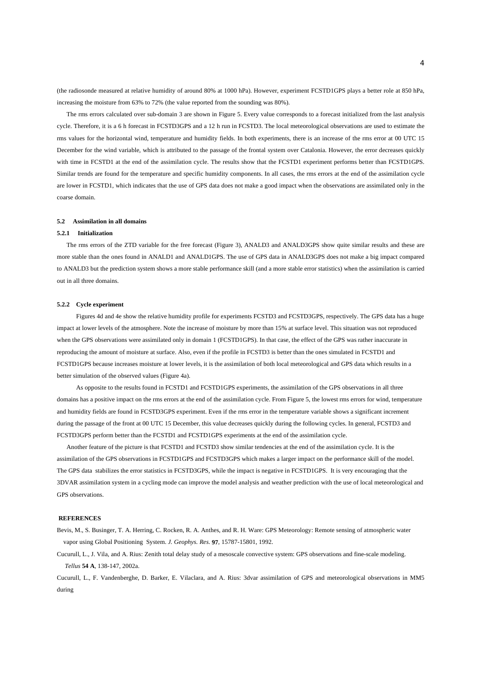<span id="page-3-0"></span>(the radiosonde measured at relative humidity of around 80% at 1000 hPa). However, experiment FCSTD1GPS plays a better role at 850 hPa, increasing the moisture from 63% to 72% (the value reported from the sounding was 80%).

 The rms errors calculated over sub-domain 3 are shown in Figure 5. Every value corresponds to a forecast initialized from the last analysis cycle. Therefore, it is a 6 h forecast in FCSTD3GPS and a 12 h run in FCSTD3. The local meteorological observations are used to estimate the rms values for the horizontal wind, temperature and humidity fields. In both experiments, there is an increase of the rms error at 00 UTC 15 December for the wind variable, which is attributed to the passage of the frontal system over Catalonia. However, the error decreases quickly with time in FCSTD1 at the end of the assimilation cycle. The results show that the FCSTD1 experiment performs better than FCSTD1GPS. Similar trends are found for the temperature and specific humidity components. In all cases, the rms errors at the end of the assimilation cycle are lower in FCSTD1, which indicates that the use of GPS data does not make a good impact when the observations are assimilated only in the coarse domain.

### **5.2 Assimilation in all domains**

#### **5.2.1 Initialization**

 The rms errors of the ZTD variable for the free forecast (Figure 3), ANALD3 and ANALD3GPS show quite similar results and these are more stable than the ones found in ANALD1 and ANALD1GPS. The use of GPS data in ANALD3GPS does not make a big impact compared to ANALD3 but the prediction system shows a more stable performance skill (and a more stable error statistics) when the assimilation is carried out in all three domains.

#### **5.2.2 Cycle experiment**

 Figures 4d and 4e show the relative humidity profile for experiments FCSTD3 and FCSTD3GPS, respectively. The GPS data has a huge impact at lower levels of the atmosphere. Note the increase of moisture by more than 15% at surface level. This situation was not reproduced when the GPS observations were assimilated only in domain 1 (FCSTD1GPS). In that case, the effect of the GPS was rather inaccurate in reproducing the amount of moisture at surface. Also, even if the profile in FCSTD3 is better than the ones simulated in FCSTD1 and FCSTD1GPS because increases moisture at lower levels, it is the assimilation of both local meteorological and GPS data which results in a better simulation of the observed values (Figure 4a).

 As opposite to the results found in FCSTD1 and FCSTD1GPS experiments, the assimilation of the GPS observations in all three domains has a positive impact on the rms errors at the end of the assimilation cycle. From Figure 5, the lowest rms errors for wind, temperature and humidity fields are found in FCSTD3GPS experiment. Even if the rms error in the temperature variable shows a significant increment during the passage of the front at 00 UTC 15 December, this value decreases quickly during the following cycles. In general, FCSTD3 and FCSTD3GPS perform better than the FCSTD1 and FCSTD1GPS experiments at the end of the assimilation cycle.

 Another feature of the picture is that FCSTD1 and FCSTD3 show similar tendencies at the end of the assimilation cycle. It is the assimilation of the GPS observations in FCSTD1GPS and FCSTD3GPS which makes a larger impact on the performance skill of the model. The GPS data stabilizes the error statistics in FCSTD3GPS, while the impact is negative in FCSTD1GPS. It is very encouraging that the 3DVAR assimilation system in a cycling mode can improve the model analysis and weather prediction with the use of local meteorological and GPS observations.

## **REFERENCES**

Bevis, M., S. Businger, T. A. Herring, C. Rocken, R. A. Anthes, and R. H. Ware: GPS Meteorology: Remote sensing of atmospheric water vapor using Global Positioning System. *J. Geophys. Res*. **97**, 15787-15801, 1992.

Cucurull, L., J. Vila, and A. Rius: Zenith total delay study of a mesoscale convective system: GPS observations and fine-scale modeling. *Tellus* **54 A**, 138-147, 2002a.

Cucurull, L., F. Vandenberghe, D. Barker, E. Vilaclara, and A. Rius: 3dvar assimilation of GPS and meteorological observations in MM5 during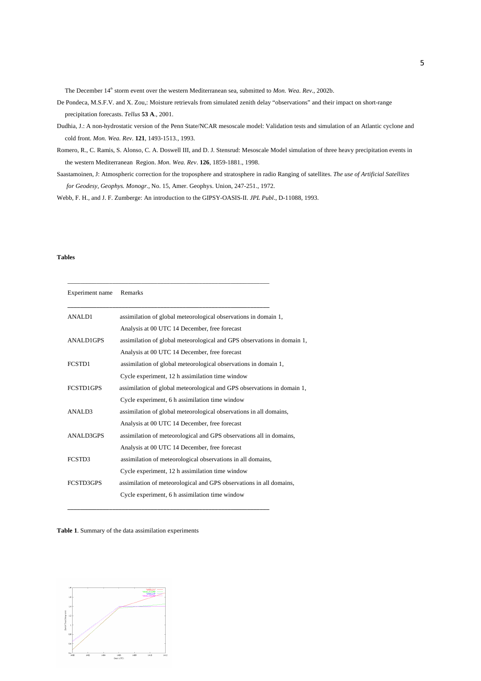The December 14<sup>th</sup> storm event over the western Mediterranean sea, submitted to *Mon. Wea. Rev.*, 2002b.

- De Pondeca, M.S.F.V. and X. Zou,: Moisture retrievals from simulated zenith delay "observations" and their impact on short-range precipitation forecasts. *Tellus* **53 A**., 2001.
- Dudhia, J.: A non-hydrostatic version of the Penn State/NCAR mesoscale model: Validation tests and simulation of an Atlantic cyclone and cold front. *Mon. Wea. Rev*. **121**, 1493-1513., 1993.
- Romero, R., C. Ramis, S. Alonso, C. A. Doswell III, and D. J. Stensrud: Mesoscale Model simulation of three heavy precipitation events in the western Mediterranean Region. *Mon. Wea. Rev*. **126**, 1859-1881., 1998.
- Saastamoinen, J: Atmospheric correction for the troposphere and stratosphere in radio Ranging of satellites. *The use of Artificial Satellites for Geodesy, Geophys. Monogr.,* No. 15, Amer. Geophys. Union, 247-251., 1972.

Webb, F. H., and J. F. Zumberge: An introduction to the GIPSY-OASIS-II. *JPL Publ*., D-11088, 1993.

\_\_\_\_\_\_\_\_\_\_\_\_\_\_\_\_\_\_\_\_\_\_\_\_\_\_\_\_\_\_\_\_\_\_\_\_\_\_\_\_\_\_\_\_\_\_\_\_\_\_\_\_\_\_\_\_\_\_\_\_\_\_\_

## **Tables**

| Experiment name  | Remarks                                                                 |
|------------------|-------------------------------------------------------------------------|
| <b>ANALD1</b>    | assimilation of global meteorological observations in domain 1,         |
|                  | Analysis at 00 UTC 14 December, free forecast                           |
| <b>ANALD1GPS</b> | assimilation of global meteorological and GPS observations in domain 1, |
|                  | Analysis at 00 UTC 14 December, free forecast                           |
| FCSTD1           | assimilation of global meteorological observations in domain 1,         |
|                  | Cycle experiment, 12 h assimilation time window                         |
| <b>FCSTD1GPS</b> | assimilation of global meteorological and GPS observations in domain 1, |
|                  | Cycle experiment, 6 h assimilation time window                          |
| ANALD3           | assimilation of global meteorological observations in all domains,      |
|                  | Analysis at 00 UTC 14 December, free forecast                           |
| <b>ANALD3GPS</b> | assimilation of meteorological and GPS observations all in domains,     |
|                  | Analysis at 00 UTC 14 December, free forecast                           |
| FCSTD3           | assimilation of meteorological observations in all domains,             |
|                  | Cycle experiment, 12 h assimilation time window                         |
| FCSTD3GPS        | assimilation of meteorological and GPS observations in all domains,     |
|                  | Cycle experiment, 6 h assimilation time window                          |

**\_\_\_\_\_\_\_\_\_\_\_\_\_\_\_\_\_\_\_\_\_\_\_\_\_\_\_\_\_\_\_\_\_\_\_\_\_\_\_\_\_\_\_\_\_\_\_\_\_\_\_\_\_\_\_\_\_\_\_\_\_\_\_** 

**Table 1**. Summary of the data assimilation experiments

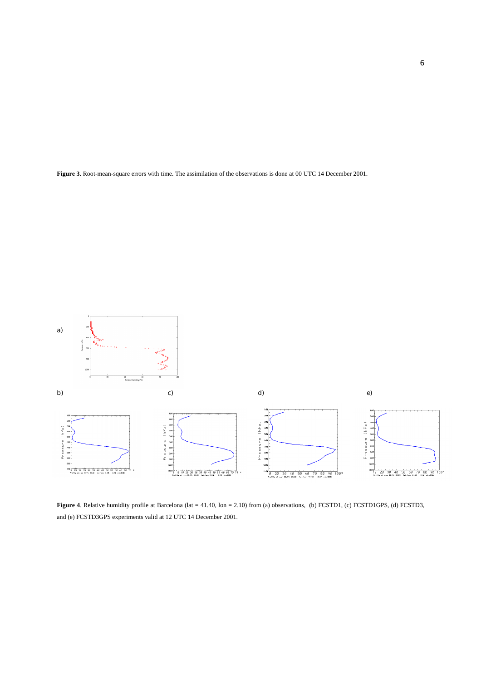**Figure 3.** Root-mean-square errors with time. The assimilation of the observations is done at 00 UTC 14 December 2001.



Figure 4. Relative humidity profile at Barcelona (lat = 41.40, lon = 2.10) from (a) observations, (b) FCSTD1, (c) FCSTD1GPS, (d) FCSTD3, and (e) FCSTD3GPS experiments valid at 12 UTC 14 December 2001.